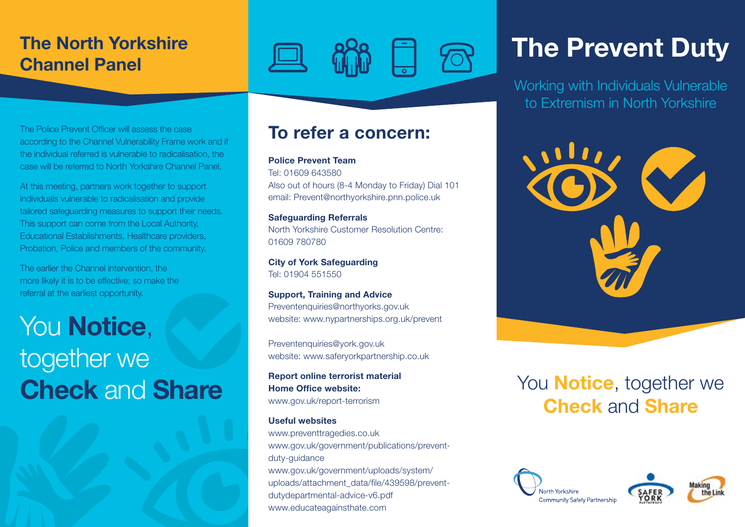## The North Yorkshire Channel Panel

### The Police Prevent Officer will assess the case according to the Channel Vulnerability Frame work and if the individual referred is vulnerable to radicalisation, the case will be referred to North Yorkshire Channel Panel.

At this meeting, partners work together to support individuals vulnerable to radicalisation and provide tailored safeguarding measures to support their needs. This support can come from the Local Authority, Educational Establishments, Healthcare providers, Probation, Police and members of the community.

The earlier the Channel intervention, the more likely it is to be effective; so make the referral at the earliest opportunity.

# You Notice, together we Check and Share

### To refer a concern:

### Police Prevent Team

Tel: 01609 643580 Also out of hours (8-4 Monday to Friday) Dial 101 email: Prevent@northyorkshire.pnn.police.uk

Safeguarding Referrals North Yorkshire Customer Resolution Centre: 01609 780780

City of York Safeguarding Tel: 01904 551550

Support, Training and Advice Preventenquiries@northyorks.gov.uk website: www.nypartnerships.org.uk/prevent

Preventenquiries@york.gov.uk website: www.saferyorkpartnership.co.uk

Report online terrorist material Home Office website: www.gov.uk/report-terrorism

### Useful websites

www.preventtragedies.co.uk www.gov.uk/government/publications/preventduty-guidance www.gov.uk/government/uploads/system/ uploads/attachment\_data/file/439598/preventdutydepartmental-advice-v6.pdf www.educateagainsthate.com

# The Prevent Duty

Working with Individuals Vulnerable to Extremism in North Yorkshire



# You **Notice**, together we Check and Share